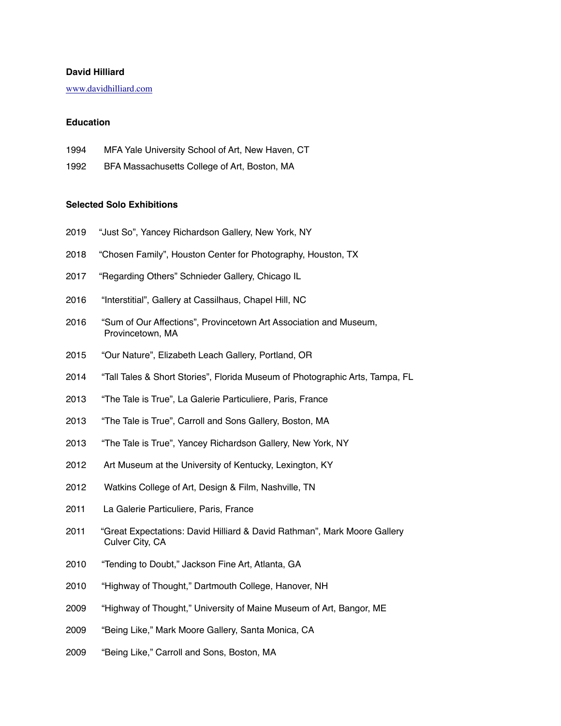## **David Hilliard**

[www.davidhilliard.com](http://www.davidhilliard.com)

#### **Education**

- 1994 MFA Yale University School of Art, New Haven, CT
- 1992 BFA Massachusetts College of Art, Boston, MA

#### **Selected Solo Exhibitions**

- 2019 "Just So", Yancey Richardson Gallery, New York, NY
- 2018 "Chosen Family", Houston Center for Photography, Houston, TX
- 2017 "Regarding Others" Schnieder Gallery, Chicago IL
- 2016 "Interstitial", Gallery at Cassilhaus, Chapel Hill, NC
- 2016 "Sum of Our Affections", Provincetown Art Association and Museum, Provincetown, MA
- 2015 "Our Nature", Elizabeth Leach Gallery, Portland, OR
- 2014 "Tall Tales & Short Stories", Florida Museum of Photographic Arts, Tampa, FL
- 2013 "The Tale is True", La Galerie Particuliere, Paris, France
- 2013 "The Tale is True", Carroll and Sons Gallery, Boston, MA
- 2013 "The Tale is True", Yancey Richardson Gallery, New York, NY
- 2012 Art Museum at the University of Kentucky, Lexington, KY
- 2012 Watkins College of Art, Design & Film, Nashville, TN
- 2011 La Galerie Particuliere, Paris, France
- 2011 "Great Expectations: David Hilliard & David Rathman", Mark Moore Gallery Culver City, CA
- 2010 "Tending to Doubt," Jackson Fine Art, Atlanta, GA
- 2010 "Highway of Thought," Dartmouth College, Hanover, NH
- 2009 "Highway of Thought," University of Maine Museum of Art, Bangor, ME
- 2009 "Being Like," Mark Moore Gallery, Santa Monica, CA
- 2009 "Being Like," Carroll and Sons, Boston, MA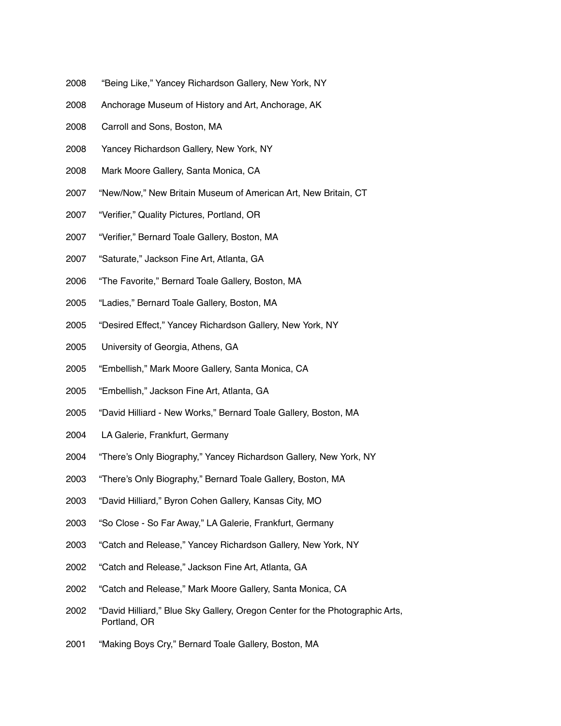- 2008 "Being Like," Yancey Richardson Gallery, New York, NY
- 2008 Anchorage Museum of History and Art, Anchorage, AK
- 2008 Carroll and Sons, Boston, MA
- 2008 Yancey Richardson Gallery, New York, NY
- 2008 Mark Moore Gallery, Santa Monica, CA
- 2007 "New/Now," New Britain Museum of American Art, New Britain, CT
- 2007 "Verifier," Quality Pictures, Portland, OR
- 2007 "Verifier," Bernard Toale Gallery, Boston, MA
- 2007 "Saturate," Jackson Fine Art, Atlanta, GA
- 2006 "The Favorite," Bernard Toale Gallery, Boston, MA
- 2005 "Ladies," Bernard Toale Gallery, Boston, MA
- 2005 "Desired Effect," Yancey Richardson Gallery, New York, NY
- 2005 University of Georgia, Athens, GA
- 2005 "Embellish," Mark Moore Gallery, Santa Monica, CA
- 2005 "Embellish," Jackson Fine Art, Atlanta, GA
- 2005 "David Hilliard New Works," Bernard Toale Gallery, Boston, MA
- 2004 LA Galerie, Frankfurt, Germany
- 2004 "There's Only Biography," Yancey Richardson Gallery, New York, NY
- 2003 "There's Only Biography," Bernard Toale Gallery, Boston, MA
- 2003 "David Hilliard," Byron Cohen Gallery, Kansas City, MO
- 2003 "So Close So Far Away," LA Galerie, Frankfurt, Germany
- 2003 "Catch and Release," Yancey Richardson Gallery, New York, NY
- 2002 "Catch and Release," Jackson Fine Art, Atlanta, GA
- 2002 "Catch and Release," Mark Moore Gallery, Santa Monica, CA
- 2002 "David Hilliard," Blue Sky Gallery, Oregon Center for the Photographic Arts, Portland, OR
- 2001 "Making Boys Cry," Bernard Toale Gallery, Boston, MA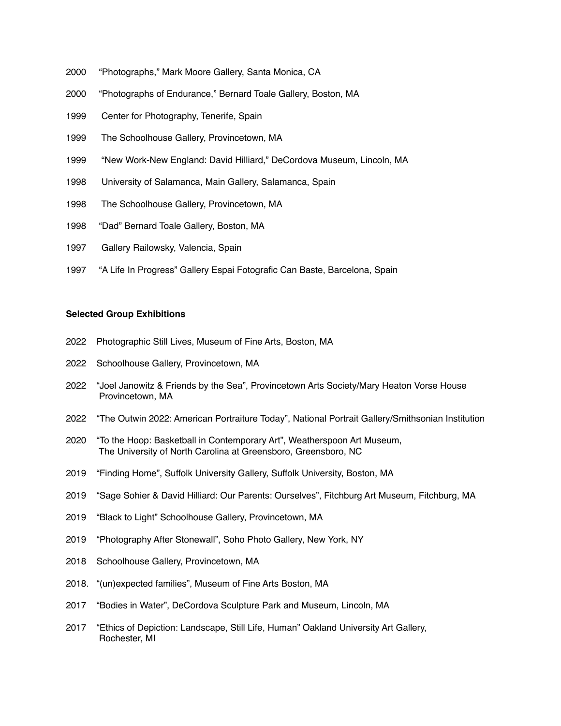- 2000 "Photographs," Mark Moore Gallery, Santa Monica, CA
- 2000 "Photographs of Endurance," Bernard Toale Gallery, Boston, MA
- 1999 Center for Photography, Tenerife, Spain
- 1999 The Schoolhouse Gallery, Provincetown, MA
- 1999 "New Work-New England: David Hilliard," DeCordova Museum, Lincoln, MA
- 1998 University of Salamanca, Main Gallery, Salamanca, Spain
- 1998 The Schoolhouse Gallery, Provincetown, MA
- 1998 "Dad" Bernard Toale Gallery, Boston, MA
- 1997 Gallery Railowsky, Valencia, Spain
- 1997 "A Life In Progress" Gallery Espai Fotografic Can Baste, Barcelona, Spain

#### **Selected Group Exhibitions**

- 2022 Photographic Still Lives, Museum of Fine Arts, Boston, MA
- 2022 Schoolhouse Gallery, Provincetown, MA
- 2022 "Joel Janowitz & Friends by the Sea", Provincetown Arts Society/Mary Heaton Vorse House Provincetown, MA
- 2022 "The Outwin 2022: American Portraiture Today", National Portrait Gallery/Smithsonian Institution
- 2020 "To the Hoop: Basketball in Contemporary Art", Weatherspoon Art Museum, The University of North Carolina at Greensboro, Greensboro, NC
- 2019 "Finding Home", Suffolk University Gallery, Suffolk University, Boston, MA
- 2019 "Sage Sohier & David Hilliard: Our Parents: Ourselves", Fitchburg Art Museum, Fitchburg, MA
- 2019 "Black to Light" Schoolhouse Gallery, Provincetown, MA
- 2019 "Photography After Stonewall", Soho Photo Gallery, New York, NY
- 2018 Schoolhouse Gallery, Provincetown, MA
- 2018. "(un)expected families", Museum of Fine Arts Boston, MA
- 2017 "Bodies in Water", DeCordova Sculpture Park and Museum, Lincoln, MA
- 2017 "Ethics of Depiction: Landscape, Still Life, Human" Oakland University Art Gallery, Rochester, MI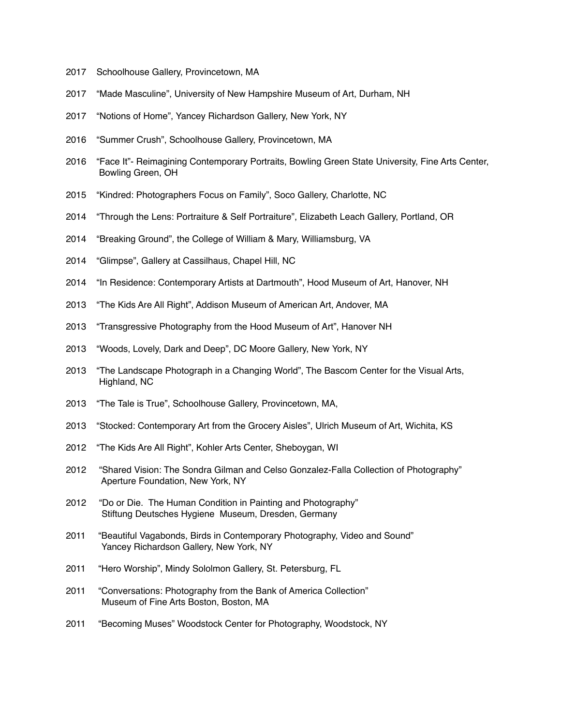- 2017 Schoolhouse Gallery, Provincetown, MA
- 2017 "Made Masculine", University of New Hampshire Museum of Art, Durham, NH
- 2017 "Notions of Home", Yancey Richardson Gallery, New York, NY
- 2016 "Summer Crush", Schoolhouse Gallery, Provincetown, MA
- 2016 "Face It"- Reimagining Contemporary Portraits, Bowling Green State University, Fine Arts Center, Bowling Green, OH
- 2015 "Kindred: Photographers Focus on Family", Soco Gallery, Charlotte, NC
- 2014 "Through the Lens: Portraiture & Self Portraiture", Elizabeth Leach Gallery, Portland, OR
- 2014 "Breaking Ground", the College of William & Mary, Williamsburg, VA
- 2014 "Glimpse", Gallery at Cassilhaus, Chapel Hill, NC
- 2014 "In Residence: Contemporary Artists at Dartmouth", Hood Museum of Art, Hanover, NH
- 2013 "The Kids Are All Right", Addison Museum of American Art, Andover, MA
- 2013 "Transgressive Photography from the Hood Museum of Art", Hanover NH
- 2013 "Woods, Lovely, Dark and Deep", DC Moore Gallery, New York, NY
- 2013 "The Landscape Photograph in a Changing World", The Bascom Center for the Visual Arts, Highland, NC
- 2013 "The Tale is True", Schoolhouse Gallery, Provincetown, MA,
- 2013 "Stocked: Contemporary Art from the Grocery Aisles", Ulrich Museum of Art, Wichita, KS
- 2012 "The Kids Are All Right", Kohler Arts Center, Sheboygan, WI
- 2012 "Shared Vision: The Sondra Gilman and Celso Gonzalez-Falla Collection of Photography" Aperture Foundation, New York, NY
- 2012 "Do or Die. The Human Condition in Painting and Photography" Stiftung Deutsches Hygiene Museum, Dresden, Germany
- 2011 "Beautiful Vagabonds, Birds in Contemporary Photography, Video and Sound" Yancey Richardson Gallery, New York, NY
- 2011 "Hero Worship", Mindy Sololmon Gallery, St. Petersburg, FL
- 2011 "Conversations: Photography from the Bank of America Collection" Museum of Fine Arts Boston, Boston, MA
- 2011 "Becoming Muses" Woodstock Center for Photography, Woodstock, NY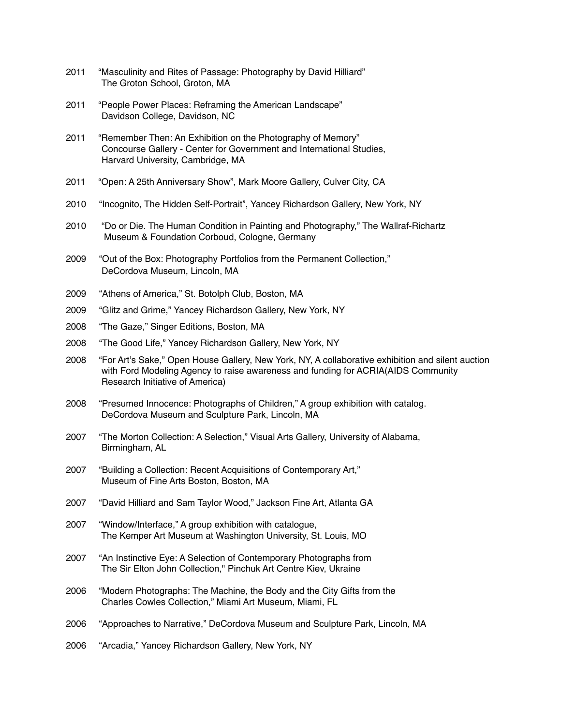- 2011 "Masculinity and Rites of Passage: Photography by David Hilliard" The Groton School, Groton, MA
- 2011 "People Power Places: Reframing the American Landscape" Davidson College, Davidson, NC
- 2011 "Remember Then: An Exhibition on the Photography of Memory" Concourse Gallery - Center for Government and International Studies, Harvard University, Cambridge, MA
- 2011 "Open: A 25th Anniversary Show", Mark Moore Gallery, Culver City, CA
- 2010 "Incognito, The Hidden Self-Portrait", Yancey Richardson Gallery, New York, NY
- 2010 "Do or Die. The Human Condition in Painting and Photography," The Wallraf-Richartz Museum & Foundation Corboud, Cologne, Germany
- 2009 "Out of the Box: Photography Portfolios from the Permanent Collection," DeCordova Museum, Lincoln, MA
- 2009 "Athens of America," St. Botolph Club, Boston, MA
- 2009 "Glitz and Grime," Yancey Richardson Gallery, New York, NY
- 2008 "The Gaze," Singer Editions, Boston, MA
- 2008 "The Good Life," Yancey Richardson Gallery, New York, NY
- 2008 "For Art's Sake," Open House Gallery, New York, NY, A collaborative exhibition and silent auction with Ford Modeling Agency to raise awareness and funding for ACRIA(AIDS Community Research Initiative of America)
- 2008 "Presumed Innocence: Photographs of Children," A group exhibition with catalog. DeCordova Museum and Sculpture Park, Lincoln, MA
- 2007 "The Morton Collection: A Selection," Visual Arts Gallery, University of Alabama, Birmingham, AL
- 2007 "Building a Collection: Recent Acquisitions of Contemporary Art," Museum of Fine Arts Boston, Boston, MA
- 2007 "David Hilliard and Sam Taylor Wood," Jackson Fine Art, Atlanta GA
- 2007 "Window/Interface," A group exhibition with catalogue, The Kemper Art Museum at Washington University, St. Louis, MO
- 2007 "An Instinctive Eye: A Selection of Contemporary Photographs from The Sir Elton John Collection," Pinchuk Art Centre Kiev, Ukraine
- 2006 "Modern Photographs: The Machine, the Body and the City Gifts from the Charles Cowles Collection," Miami Art Museum, Miami, FL
- 2006 "Approaches to Narrative," DeCordova Museum and Sculpture Park, Lincoln, MA
- 2006 "Arcadia," Yancey Richardson Gallery, New York, NY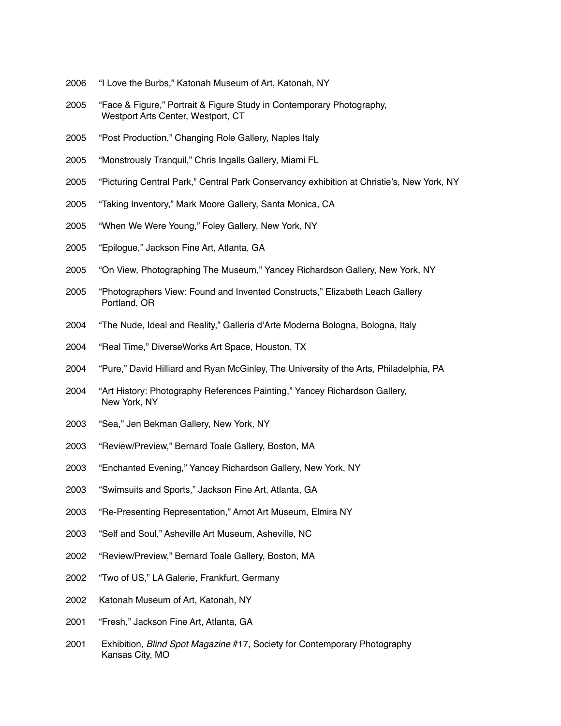- 2006 "I Love the Burbs," Katonah Museum of Art, Katonah, NY
- 2005 "Face & Figure," Portrait & Figure Study in Contemporary Photography, Westport Arts Center, Westport, CT
- 2005 "Post Production," Changing Role Gallery, Naples Italy
- 2005 "Monstrously Tranquil," Chris Ingalls Gallery, Miami FL
- 2005 "Picturing Central Park," Central Park Conservancy exhibition at Christie's, New York, NY
- 2005 "Taking Inventory," Mark Moore Gallery, Santa Monica, CA
- 2005 "When We Were Young," Foley Gallery, New York, NY
- 2005 "Epilogue," Jackson Fine Art, Atlanta, GA
- 2005 "On View, Photographing The Museum," Yancey Richardson Gallery, New York, NY
- 2005 "Photographers View: Found and Invented Constructs," Elizabeth Leach Gallery Portland, OR
- 2004 "The Nude, Ideal and Reality," Galleria d'Arte Moderna Bologna, Bologna, Italy
- 2004 "Real Time," DiverseWorks Art Space, Houston, TX
- 2004 "Pure," David Hilliard and Ryan McGinley, The University of the Arts, Philadelphia, PA
- 2004 "Art History: Photography References Painting," Yancey Richardson Gallery, New York, NY
- 2003 "Sea," Jen Bekman Gallery, New York, NY
- 2003 "Review/Preview," Bernard Toale Gallery, Boston, MA
- 2003 "Enchanted Evening," Yancey Richardson Gallery, New York, NY
- 2003 "Swimsuits and Sports," Jackson Fine Art, Atlanta, GA
- 2003 "Re-Presenting Representation," Arnot Art Museum, Elmira NY
- 2003 "Self and Soul," Asheville Art Museum, Asheville, NC
- 2002 "Review/Preview," Bernard Toale Gallery, Boston, MA
- 2002 "Two of US," LA Galerie, Frankfurt, Germany
- 2002 Katonah Museum of Art, Katonah, NY
- 2001 "Fresh," Jackson Fine Art, Atlanta, GA
- 2001 Exhibition, *Blind Spot Magazine* #17, Society for Contemporary Photography Kansas City, MO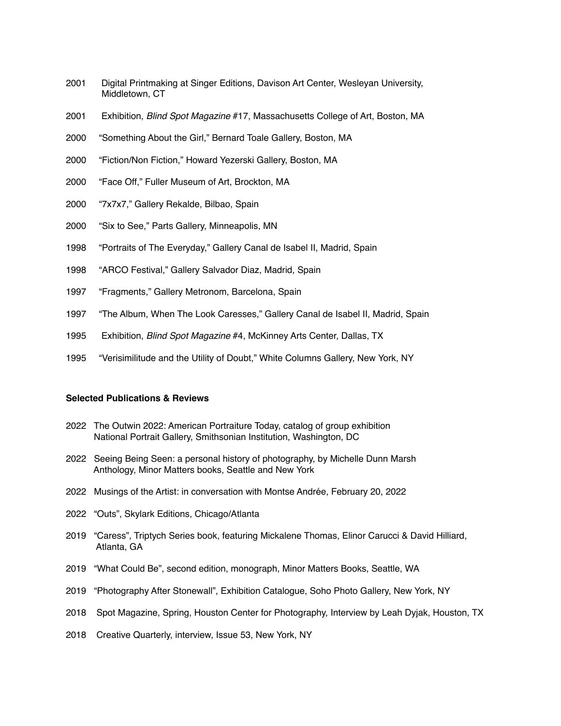- 2001 Digital Printmaking at Singer Editions, Davison Art Center, Wesleyan University, Middletown, CT
- 2001 Exhibition, *Blind Spot Magazine* #17, Massachusetts College of Art, Boston, MA
- 2000 "Something About the Girl," Bernard Toale Gallery, Boston, MA
- 2000 "Fiction/Non Fiction," Howard Yezerski Gallery, Boston, MA
- 2000 "Face Off," Fuller Museum of Art, Brockton, MA
- 2000 "7x7x7," Gallery Rekalde, Bilbao, Spain
- 2000 "Six to See," Parts Gallery, Minneapolis, MN
- 1998 "Portraits of The Everyday," Gallery Canal de Isabel II, Madrid, Spain
- 1998 "ARCO Festival," Gallery Salvador Diaz, Madrid, Spain
- 1997 "Fragments," Gallery Metronom, Barcelona, Spain
- 1997 "The Album, When The Look Caresses," Gallery Canal de Isabel II, Madrid, Spain
- 1995 Exhibition, *Blind Spot Magazine* #4, McKinney Arts Center, Dallas, TX
- 1995 "Verisimilitude and the Utility of Doubt," White Columns Gallery, New York, NY

## **Selected Publications & Reviews**

- 2022 The Outwin 2022: American Portraiture Today, catalog of group exhibition National Portrait Gallery, Smithsonian Institution, Washington, DC
- 2022 Seeing Being Seen: a personal history of photography, by Michelle Dunn Marsh Anthology, Minor Matters books, Seattle and New York
- 2022 Musings of the Artist: in conversation with Montse Andrée, February 20, 2022
- 2022 "Outs", Skylark Editions, Chicago/Atlanta
- 2019 "Caress", Triptych Series book, featuring Mickalene Thomas, Elinor Carucci & David Hilliard, Atlanta, GA
- 2019 "What Could Be", second edition, monograph, Minor Matters Books, Seattle, WA
- 2019 "Photography After Stonewall", Exhibition Catalogue, Soho Photo Gallery, New York, NY
- 2018 Spot Magazine, Spring, Houston Center for Photography, Interview by Leah Dyjak, Houston, TX
- 2018 Creative Quarterly, interview, Issue 53, New York, NY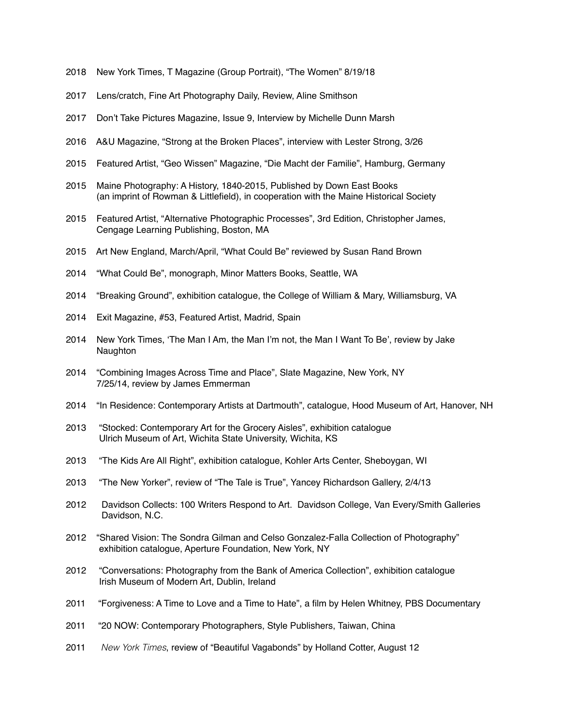- 2018 New York Times, T Magazine (Group Portrait), "The Women" 8/19/18
- 2017 Lens/cratch, Fine Art Photography Daily, Review, Aline Smithson
- 2017 Don't Take Pictures Magazine, Issue 9, Interview by Michelle Dunn Marsh
- 2016 A&U Magazine, "Strong at the Broken Places", interview with Lester Strong, 3/26
- 2015 Featured Artist, "Geo Wissen" Magazine, "Die Macht der Familie", Hamburg, Germany
- 2015 Maine Photography: A History, 1840-2015, Published by Down East Books (an imprint of Rowman & Littlefield), in cooperation with the Maine Historical Society
- 2015 Featured Artist, "Alternative Photographic Processes", 3rd Edition, Christopher James, Cengage Learning Publishing, Boston, MA
- 2015 Art New England, March/April, "What Could Be" reviewed by Susan Rand Brown
- 2014 "What Could Be", monograph, Minor Matters Books, Seattle, WA
- 2014 "Breaking Ground", exhibition catalogue, the College of William & Mary, Williamsburg, VA
- 2014 Exit Magazine, #53, Featured Artist, Madrid, Spain
- 2014 New York Times, 'The Man I Am, the Man I'm not, the Man I Want To Be', review by Jake **Naughton**
- 2014 "Combining Images Across Time and Place", Slate Magazine, New York, NY 7/25/14, review by James Emmerman
- 2014 "In Residence: Contemporary Artists at Dartmouth", catalogue, Hood Museum of Art, Hanover, NH
- 2013 "Stocked: Contemporary Art for the Grocery Aisles", exhibition catalogue Ulrich Museum of Art, Wichita State University, Wichita, KS
- 2013 "The Kids Are All Right", exhibition catalogue, Kohler Arts Center, Sheboygan, WI
- 2013 "The New Yorker", review of "The Tale is True", Yancey Richardson Gallery, 2/4/13
- 2012 Davidson Collects: 100 Writers Respond to Art. Davidson College, Van Every/Smith Galleries Davidson, N.C.
- 2012 "Shared Vision: The Sondra Gilman and Celso Gonzalez-Falla Collection of Photography" exhibition catalogue, Aperture Foundation, New York, NY
- 2012 "Conversations: Photography from the Bank of America Collection", exhibition catalogue Irish Museum of Modern Art, Dublin, Ireland
- 2011 "Forgiveness: A Time to Love and a Time to Hate", a film by Helen Whitney, PBS Documentary
- 2011 "20 NOW: Contemporary Photographers, Style Publishers, Taiwan, China
- 2011 *New York Times*, review of "Beautiful Vagabonds" by Holland Cotter, August 12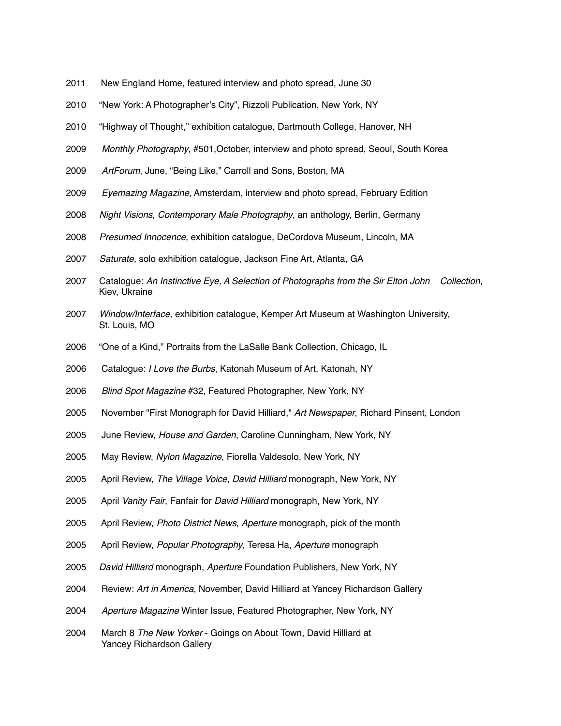- 2011 New England Home, featured interview and photo spread, June 30
- 2010 "New York: A Photographer's City", Rizzoli Publication, New York, NY
- 2010 "Highway of Thought," exhibition catalogue, Dartmouth College, Hanover, NH
- 2009 *Monthly Photography*, #501,October, interview and photo spread, Seoul, South Korea
- 2009 *ArtForum*, June, "Being Like," Carroll and Sons, Boston, MA
- 2009 *Eyemazing Magazine*, Amsterdam, interview and photo spread, February Edition
- 2008 *Night Visions, Contemporary Male Photography*, an anthology, Berlin, Germany
- 2008 *Presumed Innocence*, exhibition catalogue, DeCordova Museum, Lincoln, MA
- 2007 *Saturate,* solo exhibition catalogue, Jackson Fine Art, Atlanta, GA
- 2007 Catalogue: *An Instinctive Eye, A Selection of Photographs from the Sir Elton John Collection*, Kiev, Ukraine
- 2007 *Window/Interface*, exhibition catalogue, Kemper Art Museum at Washington University, St. Louis, MO
- 2006 "One of a Kind," Portraits from the LaSalle Bank Collection, Chicago, IL
- 2006 Catalogue: *I Love the Burbs*, Katonah Museum of Art, Katonah, NY
- 2006 *Blind Spot Magazine* #32, Featured Photographer, New York, NY
- 2005 November "First Monograph for David Hilliard," *Art Newspaper*, Richard Pinsent, London
- 2005 June Review, *House and Garden*, Caroline Cunningham, New York, NY
- 2005 May Review, *Nylon Magazine*, Fiorella Valdesolo, New York, NY
- 2005 April Review, *The Village Voice*, *David Hilliard* monograph, New York, NY
- 2005 April *Vanity Fair*, Fanfair for *David Hilliard* monograph, New York, NY
- 2005 April Review, *Photo District News*, *Aperture* monograph, pick of the month
- 2005 April Review, *Popular Photography*, Teresa Ha, *Aperture* monograph
- 2005 *David Hilliard* monograph, *Aperture* Foundation Publishers, New York, NY
- 2004 Review: *Art in America*, November, David Hilliard at Yancey Richardson Gallery
- 2004 *Aperture Magazine* Winter Issue, Featured Photographer, New York, NY
- 2004 March 8 *The New Yorker* Goings on About Town, David Hilliard at Yancey Richardson Gallery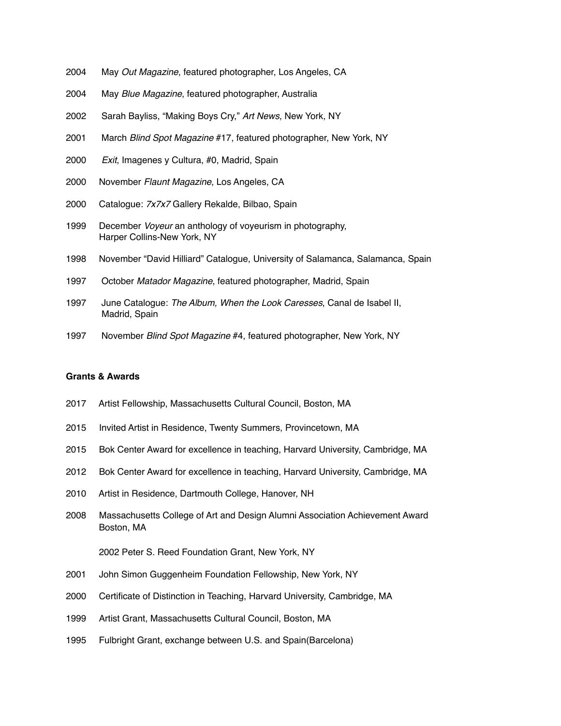- 2004 May *Out Magazine*, featured photographer, Los Angeles, CA
- 2004 May *Blue Magazine*, featured photographer, Australia
- 2002 Sarah Bayliss, "Making Boys Cry," *Art News*, New York, NY
- 2001 March *Blind Spot Magazine* #17, featured photographer, New York, NY
- 2000 *Exit*, Imagenes y Cultura, #0, Madrid, Spain
- 2000 November *Flaunt Magazine*, Los Angeles, CA
- 2000 Catalogue: *7x7x7* Gallery Rekalde, Bilbao, Spain
- 1999 December *Voyeur* an anthology of voyeurism in photography, Harper Collins-New York, NY
- 1998 November "David Hilliard" Catalogue, University of Salamanca, Salamanca, Spain
- 1997 October *Matador Magazine*, featured photographer, Madrid, Spain
- 1997 June Catalogue: *The Album, When the Look Caresses*, Canal de Isabel II, Madrid, Spain
- 1997 November *Blind Spot Magazine* #4, featured photographer, New York, NY

## **Grants & Awards**

- 2017 Artist Fellowship, Massachusetts Cultural Council, Boston, MA
- 2015 Invited Artist in Residence, Twenty Summers, Provincetown, MA
- 2015 Bok Center Award for excellence in teaching, Harvard University, Cambridge, MA
- 2012 Bok Center Award for excellence in teaching, Harvard University, Cambridge, MA
- 2010 Artist in Residence, Dartmouth College, Hanover, NH
- 2008 Massachusetts College of Art and Design Alumni Association Achievement Award Boston, MA

#### 2002 Peter S. Reed Foundation Grant, New York, NY

- 2001 John Simon Guggenheim Foundation Fellowship, New York, NY
- 2000 Certificate of Distinction in Teaching, Harvard University, Cambridge, MA
- 1999 Artist Grant, Massachusetts Cultural Council, Boston, MA
- 1995 Fulbright Grant, exchange between U.S. and Spain(Barcelona)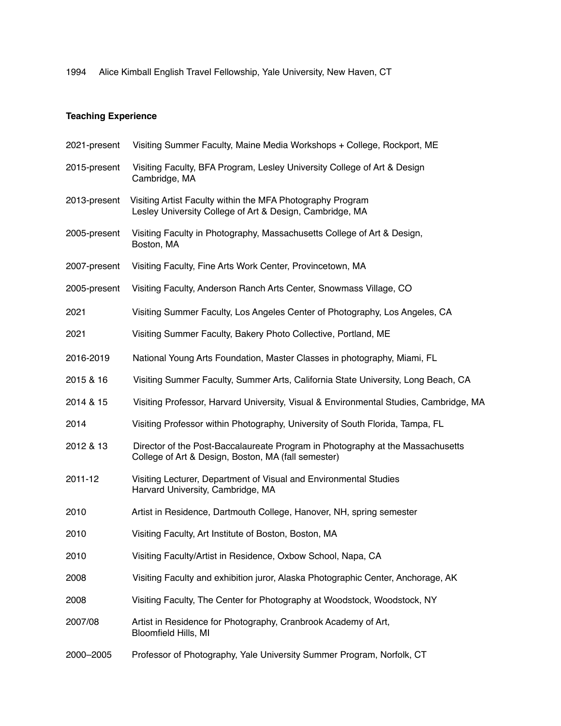1994 Alice Kimball English Travel Fellowship, Yale University, New Haven, CT

# **Teaching Experience**

| 2021-present | Visiting Summer Faculty, Maine Media Workshops + College, Rockport, ME                                                                |
|--------------|---------------------------------------------------------------------------------------------------------------------------------------|
| 2015-present | Visiting Faculty, BFA Program, Lesley University College of Art & Design<br>Cambridge, MA                                             |
| 2013-present | Visiting Artist Faculty within the MFA Photography Program<br>Lesley University College of Art & Design, Cambridge, MA                |
| 2005-present | Visiting Faculty in Photography, Massachusetts College of Art & Design,<br>Boston, MA                                                 |
| 2007-present | Visiting Faculty, Fine Arts Work Center, Provincetown, MA                                                                             |
| 2005-present | Visiting Faculty, Anderson Ranch Arts Center, Snowmass Village, CO                                                                    |
| 2021         | Visiting Summer Faculty, Los Angeles Center of Photography, Los Angeles, CA                                                           |
| 2021         | Visiting Summer Faculty, Bakery Photo Collective, Portland, ME                                                                        |
| 2016-2019    | National Young Arts Foundation, Master Classes in photography, Miami, FL                                                              |
| 2015 & 16    | Visiting Summer Faculty, Summer Arts, California State University, Long Beach, CA                                                     |
| 2014 & 15    | Visiting Professor, Harvard University, Visual & Environmental Studies, Cambridge, MA                                                 |
| 2014         | Visiting Professor within Photography, University of South Florida, Tampa, FL                                                         |
| 2012 & 13    | Director of the Post-Baccalaureate Program in Photography at the Massachusetts<br>College of Art & Design, Boston, MA (fall semester) |
| 2011-12      | Visiting Lecturer, Department of Visual and Environmental Studies<br>Harvard University, Cambridge, MA                                |
| 2010         | Artist in Residence, Dartmouth College, Hanover, NH, spring semester                                                                  |
| 2010         | Visiting Faculty, Art Institute of Boston, Boston, MA                                                                                 |
| 2010         | Visiting Faculty/Artist in Residence, Oxbow School, Napa, CA                                                                          |
| 2008         | Visiting Faculty and exhibition juror, Alaska Photographic Center, Anchorage, AK                                                      |
| 2008         | Visiting Faculty, The Center for Photography at Woodstock, Woodstock, NY                                                              |
| 2007/08      | Artist in Residence for Photography, Cranbrook Academy of Art,<br>Bloomfield Hills, MI                                                |
| 2000-2005    | Professor of Photography, Yale University Summer Program, Norfolk, CT                                                                 |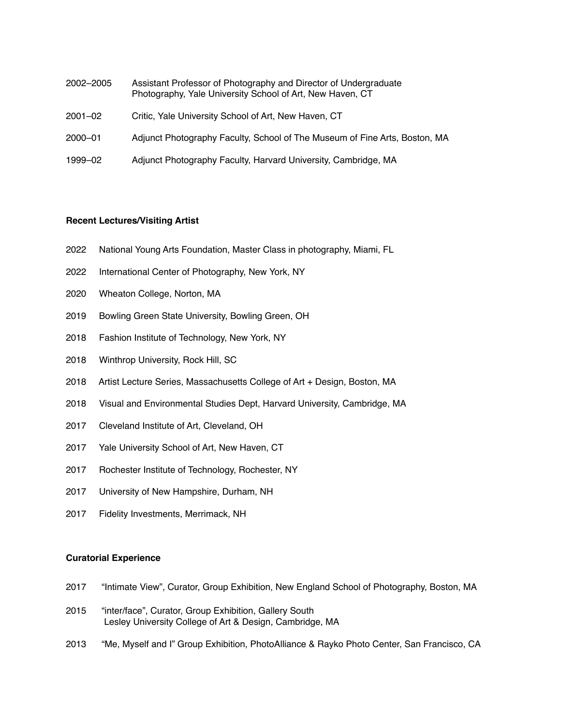- 2002–2005 Assistant Professor of Photography and Director of Undergraduate Photography, Yale University School of Art, New Haven, CT
- 2001–02 Critic, Yale University School of Art, New Haven, CT
- 2000–01 Adjunct Photography Faculty, School of The Museum of Fine Arts, Boston, MA
- 1999–02 Adjunct Photography Faculty, Harvard University, Cambridge, MA

#### **Recent Lectures/Visiting Artist**

- 2022 National Young Arts Foundation, Master Class in photography, Miami, FL
- 2022 International Center of Photography, New York, NY
- 2020 Wheaton College, Norton, MA
- 2019 Bowling Green State University, Bowling Green, OH
- 2018 Fashion Institute of Technology, New York, NY
- 2018 Winthrop University, Rock Hill, SC
- 2018 Artist Lecture Series, Massachusetts College of Art + Design, Boston, MA
- 2018 Visual and Environmental Studies Dept, Harvard University, Cambridge, MA
- 2017 Cleveland Institute of Art, Cleveland, OH
- 2017 Yale University School of Art, New Haven, CT
- 2017 Rochester Institute of Technology, Rochester, NY
- 2017 University of New Hampshire, Durham, NH
- 2017 Fidelity Investments, Merrimack, NH

## **Curatorial Experience**

- 2017 "Intimate View", Curator, Group Exhibition, New England School of Photography, Boston, MA
- 2015 "inter/face", Curator, Group Exhibition, Gallery South Lesley University College of Art & Design, Cambridge, MA
- 2013 "Me, Myself and I" Group Exhibition, PhotoAlliance & Rayko Photo Center, San Francisco, CA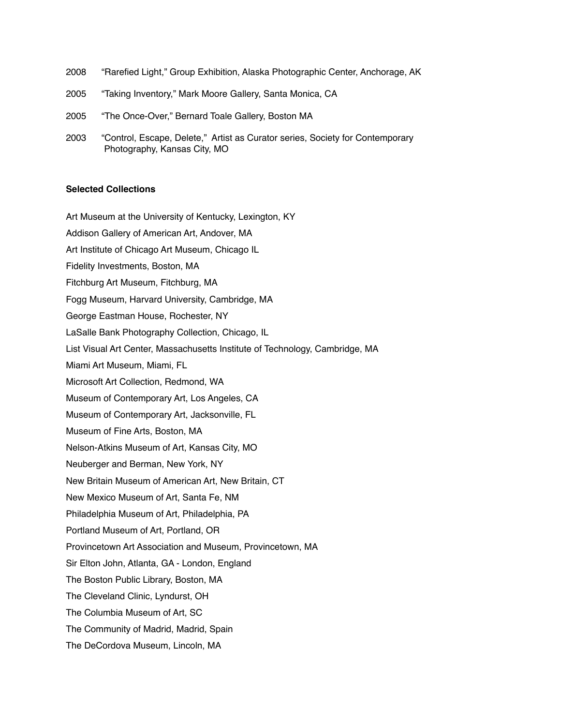| 2008 | "Rarefied Light," Group Exhibition, Alaska Photographic Center, Anchorage, AK                                 |
|------|---------------------------------------------------------------------------------------------------------------|
| 2005 | "Taking Inventory," Mark Moore Gallery, Santa Monica, CA                                                      |
| 2005 | "The Once-Over," Bernard Toale Gallery, Boston MA                                                             |
| 2003 | "Control, Escape, Delete," Artist as Curator series, Society for Contemporary<br>Photography, Kansas City, MO |

#### **Selected Collections**

Art Museum at the University of Kentucky, Lexington, KY

Addison Gallery of American Art, Andover, MA

Art Institute of Chicago Art Museum, Chicago IL

Fidelity Investments, Boston, MA

Fitchburg Art Museum, Fitchburg, MA

Fogg Museum, Harvard University, Cambridge, MA

George Eastman House, Rochester, NY

LaSalle Bank Photography Collection, Chicago, IL

List Visual Art Center, Massachusetts Institute of Technology, Cambridge, MA

Miami Art Museum, Miami, FL

Microsoft Art Collection, Redmond, WA

Museum of Contemporary Art, Los Angeles, CA

Museum of Contemporary Art, Jacksonville, FL

Museum of Fine Arts, Boston, MA

Nelson-Atkins Museum of Art, Kansas City, MO

Neuberger and Berman, New York, NY

New Britain Museum of American Art, New Britain, CT

New Mexico Museum of Art, Santa Fe, NM

Philadelphia Museum of Art, Philadelphia, PA

Portland Museum of Art, Portland, OR

Provincetown Art Association and Museum, Provincetown, MA

Sir Elton John, Atlanta, GA - London, England

The Boston Public Library, Boston, MA

The Cleveland Clinic, Lyndurst, OH

The Columbia Museum of Art, SC

The Community of Madrid, Madrid, Spain

The DeCordova Museum, Lincoln, MA